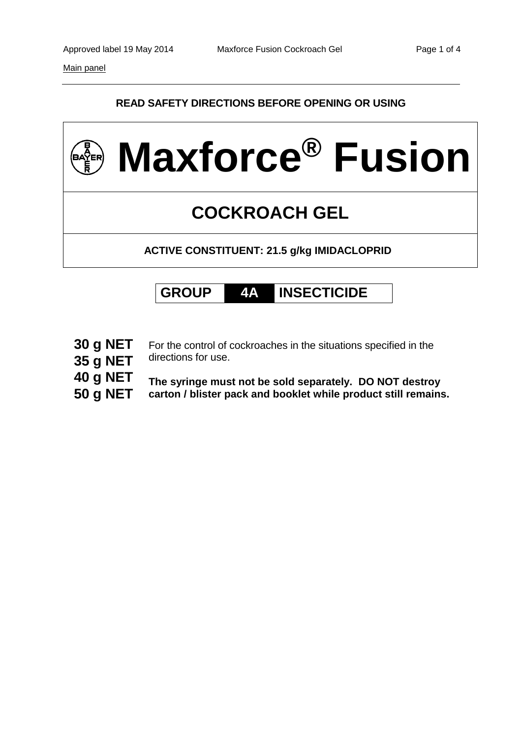Main panel

## **READ SAFETY DIRECTIONS BEFORE OPENING OR USING**





**30 g NET**

For the control of cockroaches in the situations specified in the directions for use.

- **35 g NET**
- **40 g NET**
- **50 g NET**

**The syringe must not be sold separately. DO NOT destroy carton / blister pack and booklet while product still remains.**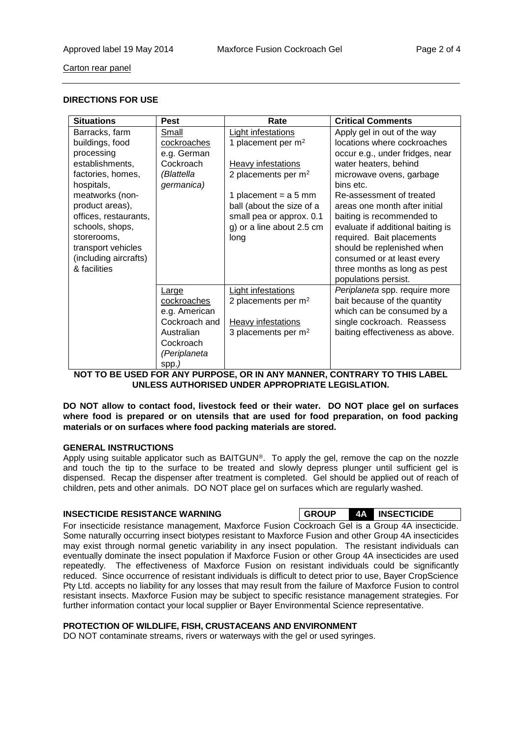Carton rear panel

#### **DIRECTIONS FOR USE**

| <b>Situations</b>     | <b>Pest</b>   | Rate                      | <b>Critical Comments</b>          |
|-----------------------|---------------|---------------------------|-----------------------------------|
| Barracks, farm        | Small         | <b>Light infestations</b> | Apply gel in out of the way       |
| buildings, food       | cockroaches   | 1 placement per $m2$      | locations where cockroaches       |
| processing            | e.g. German   |                           | occur e.g., under fridges, near   |
| establishments,       | Cockroach     | Heavy infestations        | water heaters, behind             |
| factories, homes,     | (Blattella    | 2 placements per $m2$     | microwave ovens, garbage          |
| hospitals,            | germanica)    |                           | bins etc.                         |
| meatworks (non-       |               | 1 placement = $a 5$ mm    | Re-assessment of treated          |
| product areas),       |               | ball (about the size of a | areas one month after initial     |
| offices, restaurants, |               | small pea or approx. 0.1  | baiting is recommended to         |
| schools, shops,       |               | g) or a line about 2.5 cm | evaluate if additional baiting is |
| storerooms,           |               | long                      | required. Bait placements         |
| transport vehicles    |               |                           | should be replenished when        |
| (including aircrafts) |               |                           | consumed or at least every        |
| & facilities          |               |                           | three months as long as pest      |
|                       |               |                           | populations persist.              |
|                       | <b>Large</b>  | <b>Light infestations</b> | Periplaneta spp. require more     |
|                       | cockroaches   | 2 placements per $m2$     | bait because of the quantity      |
|                       | e.g. American |                           | which can be consumed by a        |
|                       | Cockroach and | Heavy infestations        | single cockroach. Reassess        |
|                       | Australian    | 3 placements per $m2$     | baiting effectiveness as above.   |
|                       | Cockroach     |                           |                                   |
|                       | (Periplaneta  |                           |                                   |
|                       | spp.)         |                           |                                   |

**NOT TO BE USED FOR ANY PURPOSE, OR IN ANY MANNER, CONTRARY TO THIS LABEL UNLESS AUTHORISED UNDER APPROPRIATE LEGISLATION.**

**DO NOT allow to contact food, livestock feed or their water. DO NOT place gel on surfaces where food is prepared or on utensils that are used for food preparation, on food packing materials or on surfaces where food packing materials are stored.**

#### **GENERAL INSTRUCTIONS**

Apply using suitable applicator such as BAITGUN®. To apply the gel, remove the cap on the nozzle and touch the tip to the surface to be treated and slowly depress plunger until sufficient gel is dispensed. Recap the dispenser after treatment is completed. Gel should be applied out of reach of children, pets and other animals. DO NOT place gel on surfaces which are regularly washed.

#### **INSECTICIDE RESISTANCE WARNING GROUP 4A INSECTICIDE**

For insecticide resistance management, Maxforce Fusion Cockroach Gel is a Group 4A insecticide. Some naturally occurring insect biotypes resistant to Maxforce Fusion and other Group 4A insecticides may exist through normal genetic variability in any insect population. The resistant individuals can eventually dominate the insect population if Maxforce Fusion or other Group 4A insecticides are used repeatedly. The effectiveness of Maxforce Fusion on resistant individuals could be significantly reduced. Since occurrence of resistant individuals is difficult to detect prior to use, Bayer CropScience Pty Ltd. accepts no liability for any losses that may result from the failure of Maxforce Fusion to control resistant insects. Maxforce Fusion may be subject to specific resistance management strategies. For further information contact your local supplier or Bayer Environmental Science representative.

#### **PROTECTION OF WILDLIFE, FISH, CRUSTACEANS AND ENVIRONMENT**

DO NOT contaminate streams, rivers or waterways with the gel or used syringes.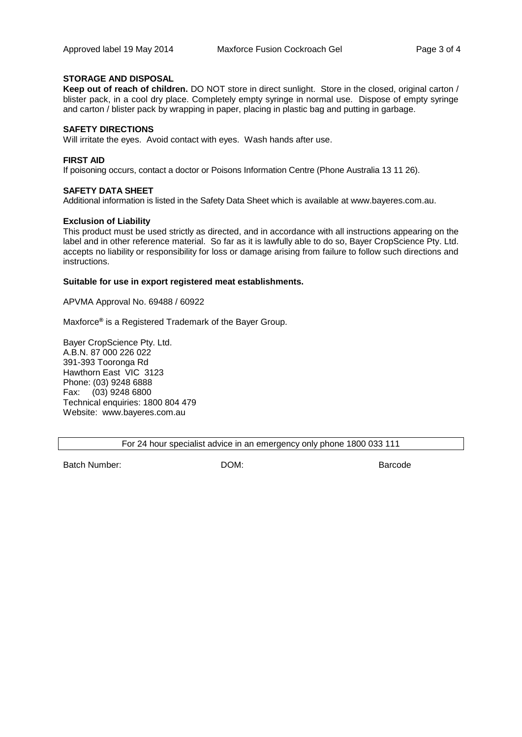#### **STORAGE AND DISPOSAL**

**Keep out of reach of children.** DO NOT store in direct sunlight. Store in the closed, original carton / blister pack, in a cool dry place. Completely empty syringe in normal use. Dispose of empty syringe and carton / blister pack by wrapping in paper, placing in plastic bag and putting in garbage.

#### **SAFETY DIRECTIONS**

Will irritate the eyes. Avoid contact with eyes. Wash hands after use.

#### **FIRST AID**

If poisoning occurs, contact a doctor or Poisons Information Centre (Phone Australia 13 11 26).

#### **SAFETY DATA SHEET**

Additional information is listed in the Safety Data Sheet which is available at www.bayeres.com.au.

#### **Exclusion of Liability**

This product must be used strictly as directed, and in accordance with all instructions appearing on the label and in other reference material. So far as it is lawfully able to do so, Bayer CropScience Pty. Ltd. accepts no liability or responsibility for loss or damage arising from failure to follow such directions and instructions.

#### **Suitable for use in export registered meat establishments.**

APVMA Approval No. 69488 / 60922

Maxforce**®** is a Registered Trademark of the Bayer Group.

Bayer CropScience Pty. Ltd. A.B.N. 87 000 226 022 391-393 Tooronga Rd Hawthorn East VIC 3123 Phone: (03) 9248 6888 Fax: (03) 9248 6800 Technical enquiries: 1800 804 479 Website: www.bayeres.com.au

For 24 hour specialist advice in an emergency only phone 1800 033 111

Batch Number: DOM: Barcode